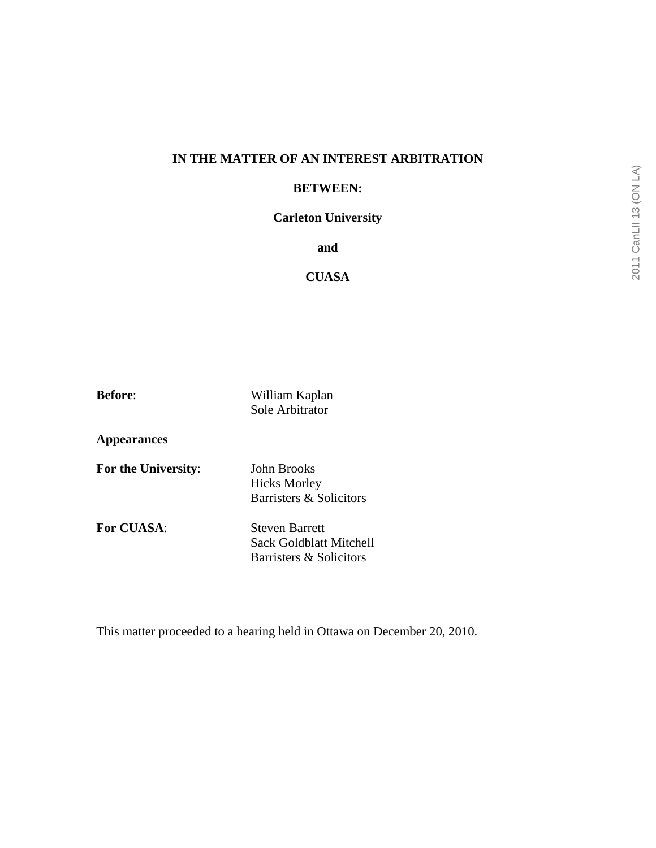# **IN THE MATTER OF AN INTEREST ARBITRATION**

#### **BETWEEN:**

## **Carleton University**

**and** 

# **CUASA**

**Before**: William Kaplan Sole Arbitrator

**Appearances** 

**For the University**: John Brooks

 Hicks Morley Barristers & Solicitors

**For CUASA:** Steven Barrett Sack Goldblatt Mitchell Barristers & Solicitors

This matter proceeded to a hearing held in Ottawa on December 20, 2010.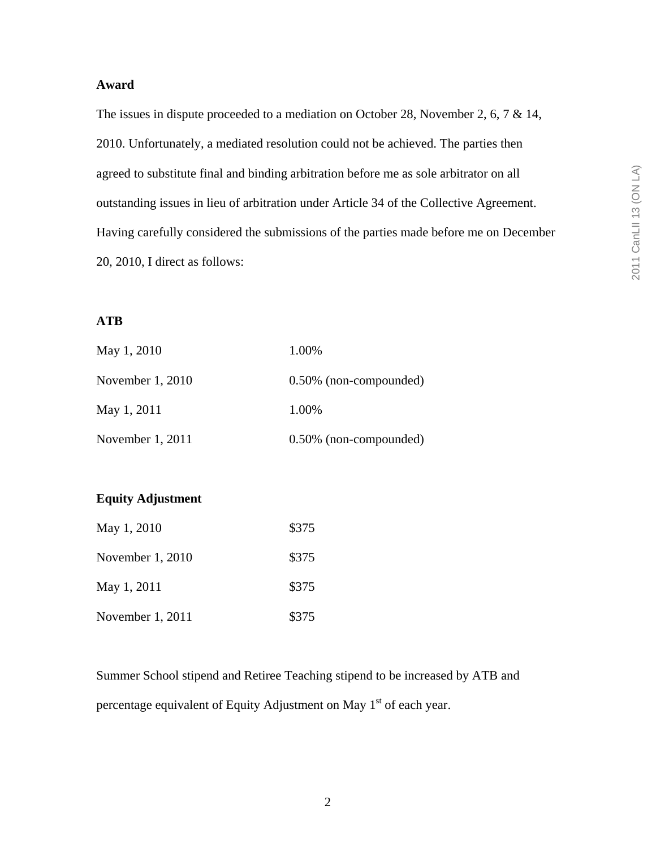### **Award**

The issues in dispute proceeded to a mediation on October 28, November 2, 6, 7 & 14, 2010. Unfortunately, a mediated resolution could not be achieved. The parties then agreed to substitute final and binding arbitration before me as sole arbitrator on all outstanding issues in lieu of arbitration under Article 34 of the Collective Agreement. Having carefully considered the submissions of the parties made before me on December 20, 2010, I direct as follows:

# **ATB**

| May 1, 2010      | 1.00%                     |
|------------------|---------------------------|
| November 1, 2010 | $0.50\%$ (non-compounded) |
| May 1, 2011      | 1.00%                     |
| November 1, 2011 | 0.50% (non-compounded)    |

# **Equity Adjustment**

| May 1, 2010      | \$375 |
|------------------|-------|
| November 1, 2010 | \$375 |
| May 1, 2011      | \$375 |
| November 1, 2011 | \$375 |

Summer School stipend and Retiree Teaching stipend to be increased by ATB and percentage equivalent of Equity Adjustment on May  $1<sup>st</sup>$  of each year.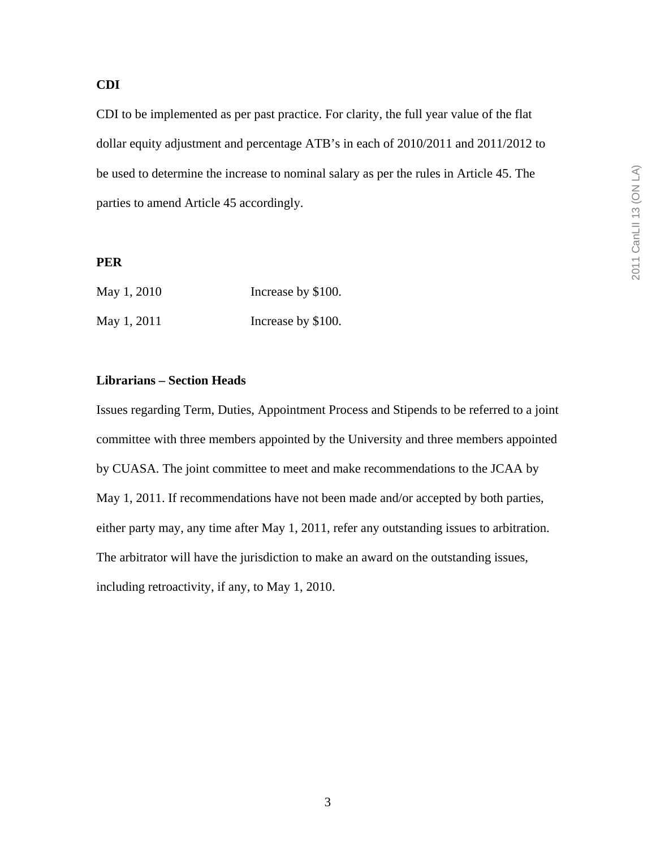# **CDI**

CDI to be implemented as per past practice. For clarity, the full year value of the flat dollar equity adjustment and percentage ATB's in each of 2010/2011 and 2011/2012 to be used to determine the increase to nominal salary as per the rules in Article 45. The parties to amend Article 45 accordingly.

#### **PER**

| May 1, 2010 | Increase by \$100. |
|-------------|--------------------|
| May 1, 2011 | Increase by \$100. |

### **Librarians – Section Heads**

Issues regarding Term, Duties, Appointment Process and Stipends to be referred to a joint committee with three members appointed by the University and three members appointed by CUASA. The joint committee to meet and make recommendations to the JCAA by May 1, 2011. If recommendations have not been made and/or accepted by both parties, either party may, any time after May 1, 2011, refer any outstanding issues to arbitration. The arbitrator will have the jurisdiction to make an award on the outstanding issues, including retroactivity, if any, to May 1, 2010.